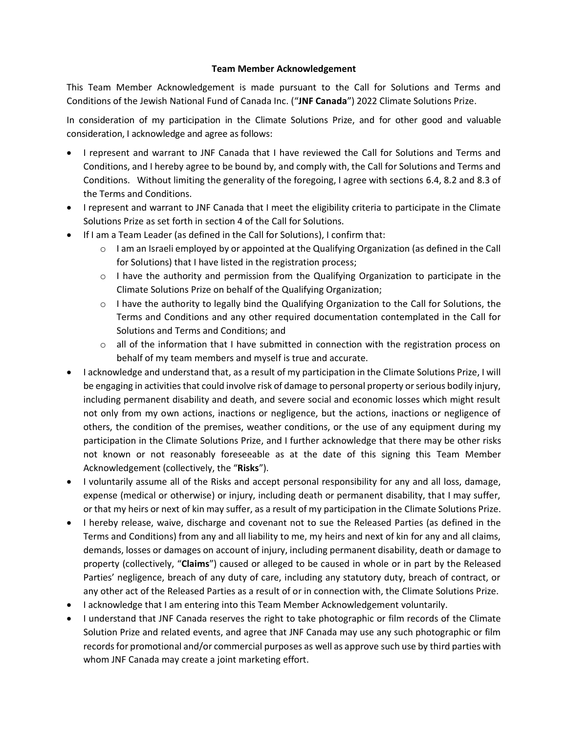## **Team Member Acknowledgement**

This Team Member Acknowledgement is made pursuant to the Call for Solutions and Terms and Conditions of the Jewish National Fund of Canada Inc. ("**JNF Canada**") 2022 Climate Solutions Prize.

In consideration of my participation in the Climate Solutions Prize, and for other good and valuable consideration, I acknowledge and agree as follows:

- I represent and warrant to JNF Canada that I have reviewed the Call for Solutions and Terms and Conditions, and I hereby agree to be bound by, and comply with, the Call for Solutions and Terms and Conditions. Without limiting the generality of the foregoing, I agree with sections 6.4, 8.2 and 8.3 of the Terms and Conditions.
- I represent and warrant to JNF Canada that I meet the eligibility criteria to participate in the Climate Solutions Prize as set forth in section 4 of the Call for Solutions.
- If I am a Team Leader (as defined in the Call for Solutions), I confirm that:
	- o I am an Israeli employed by or appointed at the Qualifying Organization (as defined in the Call for Solutions) that I have listed in the registration process;
	- $\circ$  I have the authority and permission from the Qualifying Organization to participate in the Climate Solutions Prize on behalf of the Qualifying Organization;
	- o I have the authority to legally bind the Qualifying Organization to the Call for Solutions, the Terms and Conditions and any other required documentation contemplated in the Call for Solutions and Terms and Conditions; and
	- $\circ$  all of the information that I have submitted in connection with the registration process on behalf of my team members and myself is true and accurate.
- I acknowledge and understand that, as a result of my participation in the Climate Solutions Prize, I will be engaging in activities that could involve risk of damage to personal property or serious bodily injury, including permanent disability and death, and severe social and economic losses which might result not only from my own actions, inactions or negligence, but the actions, inactions or negligence of others, the condition of the premises, weather conditions, or the use of any equipment during my participation in the Climate Solutions Prize, and I further acknowledge that there may be other risks not known or not reasonably foreseeable as at the date of this signing this Team Member Acknowledgement (collectively, the "**Risks**").
- I voluntarily assume all of the Risks and accept personal responsibility for any and all loss, damage, expense (medical or otherwise) or injury, including death or permanent disability, that I may suffer, or that my heirs or next of kin may suffer, as a result of my participation in the Climate Solutions Prize.
- I hereby release, waive, discharge and covenant not to sue the Released Parties (as defined in the Terms and Conditions) from any and all liability to me, my heirs and next of kin for any and all claims, demands, losses or damages on account of injury, including permanent disability, death or damage to property (collectively, "**Claims**") caused or alleged to be caused in whole or in part by the Released Parties' negligence, breach of any duty of care, including any statutory duty, breach of contract, or any other act of the Released Parties as a result of or in connection with, the Climate Solutions Prize.
- I acknowledge that I am entering into this Team Member Acknowledgement voluntarily.
- I understand that JNF Canada reserves the right to take photographic or film records of the Climate Solution Prize and related events, and agree that JNF Canada may use any such photographic or film records for promotional and/or commercial purposes as well as approve such use by third parties with whom JNF Canada may create a joint marketing effort.